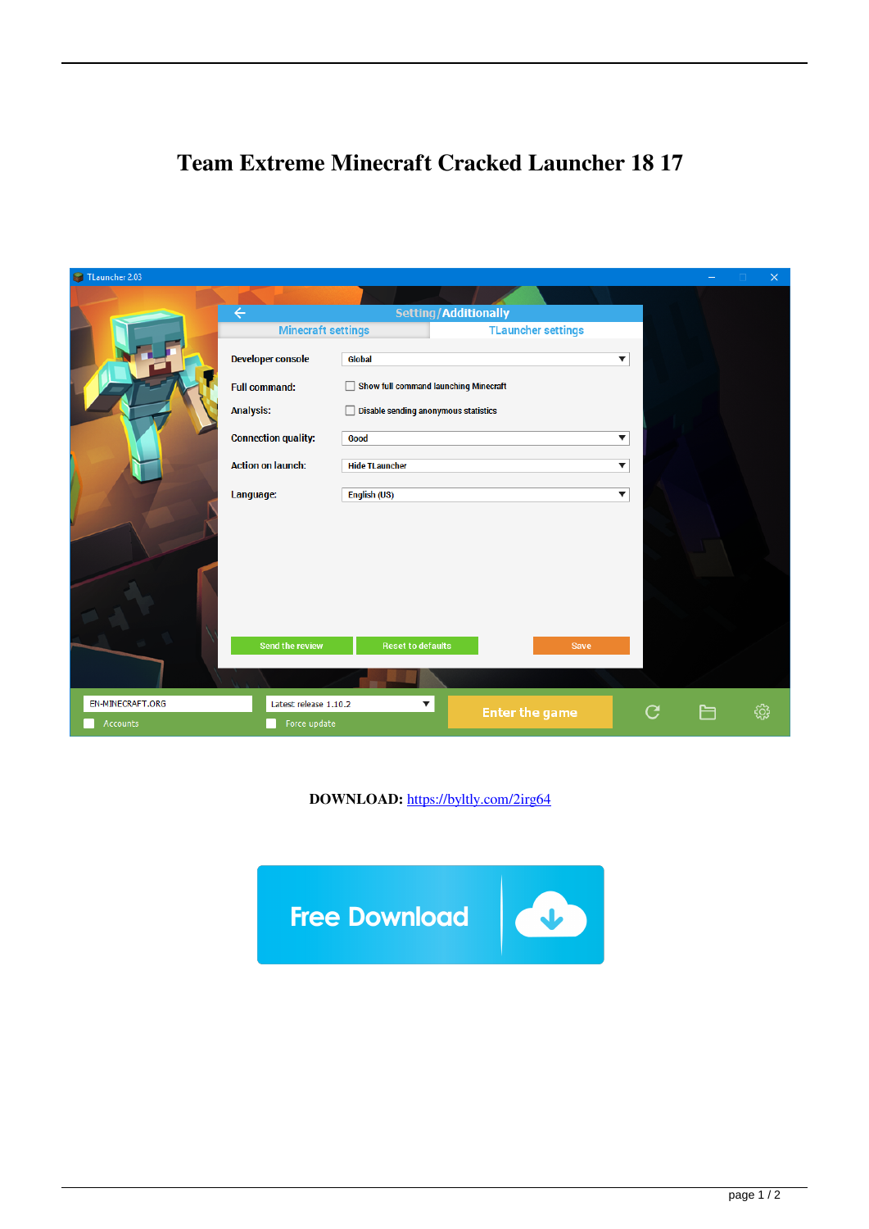## **Team Extreme Minecraft Cracked Launcher 18 17**

| TLauncher 2.03   |                                                   |                                       |  |                           |   |  | $\times$ |
|------------------|---------------------------------------------------|---------------------------------------|--|---------------------------|---|--|----------|
|                  |                                                   |                                       |  |                           |   |  |          |
|                  | Setting/Additionally<br>$\leftarrow$              |                                       |  |                           |   |  |          |
|                  | <b>Minecraft settings</b>                         |                                       |  | <b>TLauncher settings</b> |   |  |          |
|                  | <b>Developer console</b>                          | Global                                |  | $\blacktriangledown$      |   |  |          |
|                  | <b>Full command:</b>                              | Show full command launching Minecraft |  |                           |   |  |          |
|                  | <b>Analysis:</b>                                  | Disable sending anonymous statistics  |  |                           |   |  |          |
|                  | <b>Connection quality:</b>                        | Good                                  |  | ▼                         |   |  |          |
|                  | <b>Action on launch:</b>                          | <b>Hide TLauncher</b>                 |  | $\blacktriangledown$      |   |  |          |
|                  | English (US)<br>Language:<br>$\blacktriangledown$ |                                       |  |                           |   |  |          |
|                  |                                                   |                                       |  |                           |   |  |          |
|                  |                                                   |                                       |  |                           |   |  |          |
|                  |                                                   |                                       |  |                           |   |  |          |
|                  |                                                   |                                       |  |                           |   |  |          |
|                  |                                                   |                                       |  |                           |   |  |          |
|                  | <b>Send the review</b>                            | <b>Reset to defaults</b>              |  | Save                      |   |  |          |
|                  |                                                   |                                       |  |                           |   |  |          |
| EN-MINECRAFT.ORG | Latest release 1.10.2<br>▼<br>Force update        |                                       |  | <b>Enter the game</b>     |   |  | සූ       |
| Accounts         |                                                   |                                       |  |                           | C |  |          |

**DOWNLOAD:** <https://byltly.com/2irg64>